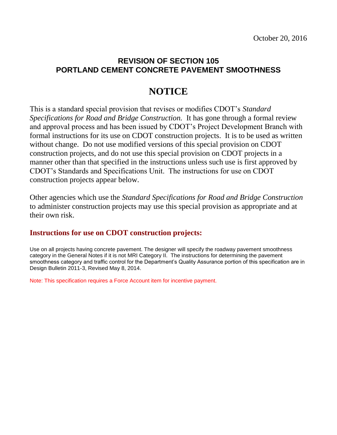# **REVISION OF SECTION 105 PORTLAND CEMENT CONCRETE PAVEMENT SMOOTHNESS**

# **NOTICE**

This is a standard special provision that revises or modifies CDOT's *Standard Specifications for Road and Bridge Construction.* It has gone through a formal review and approval process and has been issued by CDOT's Project Development Branch with formal instructions for its use on CDOT construction projects. It is to be used as written without change. Do not use modified versions of this special provision on CDOT construction projects, and do not use this special provision on CDOT projects in a manner other than that specified in the instructions unless such use is first approved by CDOT's Standards and Specifications Unit. The instructions for use on CDOT construction projects appear below.

Other agencies which use the *Standard Specifications for Road and Bridge Construction* to administer construction projects may use this special provision as appropriate and at their own risk.

# **Instructions for use on CDOT construction projects:**

Use on all projects having concrete pavement. The designer will specify the roadway pavement smoothness category in the General Notes if it is not MRI Category II. The instructions for determining the pavement smoothness category and traffic control for the Department's Quality Assurance portion of this specification are in Design Bulletin 2011-3, Revised May 8, 2014.

Note: This specification requires a Force Account item for incentive payment.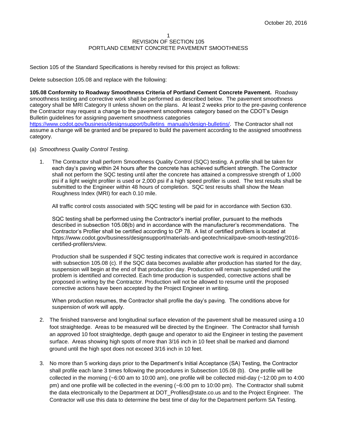#### 1 REVISION OF SECTION 105 PORTLAND CEMENT CONCRETE PAVEMENT SMOOTHNESS

Section 105 of the Standard Specifications is hereby revised for this project as follows:

Delete subsection 105.08 and replace with the following:

**105.08 Conformity to Roadway Smoothness Criteria of Portland Cement Concrete Pavement.** Roadway smoothness testing and corrective work shall be performed as described below. The pavement smoothness category shall be MRI Category II unless shown on the plans. At least 2 weeks prior to the pre-paving conference the Contractor may request a change to the pavement smoothness category based on the CDOT's Design Bulletin guidelines for assigning pavement smoothness categories [https://www.codot.gov/business/designsupport/bulletins\\_manuals/design-bulletins/.](https://www.codot.gov/business/designsupport/bulletins_manuals/design-bulletins/) The Contractor shall not assume a change will be granted and be prepared to build the pavement according to the assigned smoothness category.

- (a) *Smoothness Quality Control Testing.* 
	- 1. The Contractor shall perform Smoothness Quality Control (SQC) testing. A profile shall be taken for each day's paving within 24 hours after the concrete has achieved sufficient strength. The Contractor shall not perform the SQC testing until after the concrete has attained a compressive strength of 1,000 psi if a light weight profiler is used or 2,000 psi if a high speed profiler is used. The test results shall be submitted to the Engineer within 48 hours of completion. SQC test results shall show the Mean Roughness Index (MRI) for each 0.10 mile.

All traffic control costs associated with SQC testing will be paid for in accordance with Section 630.

SQC testing shall be performed using the Contractor's inertial profiler, pursuant to the methods described in subsection 105.08(b) and in accordance with the manufacturer's recommendations. The Contractor's Profiler shall be certified according to CP 78. A list of certified profilers is located at https://www.codot.gov/business/designsupport/materials-and-geotechnical/pave-smooth-testing/2016 certified-profilers/view.

Production shall be suspended if SQC testing indicates that corrective work is required in accordance with subsection 105.08 (c). If the SQC data becomes available after production has started for the day, suspension will begin at the end of that production day. Production will remain suspended until the problem is identified and corrected. Each time production is suspended, corrective actions shall be proposed in writing by the Contractor. Production will not be allowed to resume until the proposed corrective actions have been accepted by the Project Engineer in writing.

When production resumes, the Contractor shall profile the day's paving. The conditions above for suspension of work will apply.

- 2. The finished transverse and longitudinal surface elevation of the pavement shall be measured using a 10 foot straightedge. Areas to be measured will be directed by the Engineer. The Contractor shall furnish an approved 10 foot straightedge, depth gauge and operator to aid the Engineer in testing the pavement surface. Areas showing high spots of more than 3/16 inch in 10 feet shall be marked and diamond ground until the high spot does not exceed 3/16 inch in 10 feet.
- 3. No more than 5 working days prior to the Department's Initial Acceptance (SA) Testing, the Contractor shall profile each lane 3 times following the procedures in Subsection 105.08 (b). One profile will be collected in the morning  $(-6:00 \text{ am to } 10:00 \text{ am})$ , one profile will be collected mid-day  $(-12:00 \text{ pm to } 4:00 \text{ cm})$ pm) and one profile will be collected in the evening (~6:00 pm to 10:00 pm). The Contractor shall submit the data electronically to the Department at DOT\_Profiles@state.co.us and to the Project Engineer. The Contractor will use this data to determine the best time of day for the Department perform SA Testing.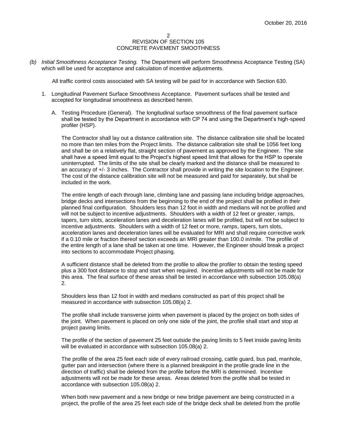*(b) Initial Smoothness Acceptance Testing.* The Department will perform Smoothness Acceptance Testing (SA) which will be used for acceptance and calculation of incentive adjustments.

All traffic control costs associated with SA testing will be paid for in accordance with Section 630.

- 1. Longitudinal Pavement Surface Smoothness Acceptance. Pavement surfaces shall be tested and accepted for longitudinal smoothness as described herein.
	- A. Testing Procedure (General). The longitudinal surface smoothness of the final pavement surface shall be tested by the Department in accordance with CP 74 and using the Department's high-speed profiler (HSP).

The Contractor shall lay out a distance calibration site. The distance calibration site shall be located no more than ten miles from the Project limits. The distance calibration site shall be 1056 feet long and shall be on a relatively flat, straight section of pavement as approved by the Engineer. The site shall have a speed limit equal to the Project's highest speed limit that allows for the HSP to operate uninterrupted. The limits of the site shall be clearly marked and the distance shall be measured to an accuracy of +/- 3 inches. The Contractor shall provide in writing the site location to the Engineer. The cost of the distance calibration site will not be measured and paid for separately, but shall be included in the work.

The entire length of each through lane, climbing lane and passing lane including bridge approaches, bridge decks and intersections from the beginning to the end of the project shall be profiled in their planned final configuration. Shoulders less than 12 foot in width and medians will not be profiled and will not be subject to incentive adjustments. Shoulders with a width of 12 feet or greater, ramps, tapers, turn slots, acceleration lanes and deceleration lanes will be profiled, but will not be subject to incentive adjustments. Shoulders with a width of 12 feet or more, ramps, tapers, turn slots, acceleration lanes and deceleration lanes will be evaluated for MRI and shall require corrective work if a 0.10 mile or fraction thereof section exceeds an MRI greater than 100.0 in/mile. The profile of the entire length of a lane shall be taken at one time. However, the Engineer should break a project into sections to accommodate Project phasing.

A sufficient distance shall be deleted from the profile to allow the profiler to obtain the testing speed plus a 300 foot distance to stop and start when required. Incentive adjustments will not be made for this area. The final surface of these areas shall be tested in accordance with subsection 105.08(a) 2.

Shoulders less than 12 foot in width and medians constructed as part of this project shall be measured in accordance with subsection 105.08(a) 2.

The profile shall include transverse joints when pavement is placed by the project on both sides of the joint. When pavement is placed on only one side of the joint, the profile shall start and stop at project paving limits.

The profile of the section of pavement 25 feet outside the paving limits to 5 feet inside paving limits will be evaluated in accordance with subsection 105.08(a) 2.

The profile of the area 25 feet each side of every railroad crossing, cattle guard, bus pad, manhole, gutter pan and intersection (where there is a planned breakpoint in the profile grade line in the direction of traffic) shall be deleted from the profile before the MRI is determined. Incentive adjustments will not be made for these areas. Areas deleted from the profile shall be tested in accordance with subsection 105.08(a) 2.

When both new pavement and a new bridge or new bridge pavement are being constructed in a project, the profile of the area 25 feet each side of the bridge deck shall be deleted from the profile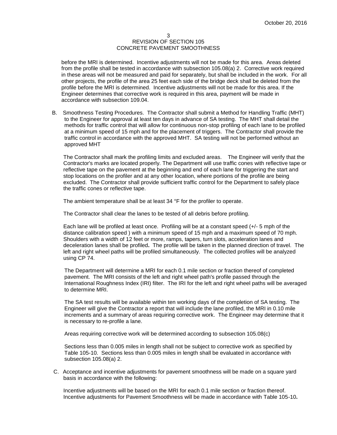before the MRI is determined. Incentive adjustments will not be made for this area. Areas deleted from the profile shall be tested in accordance with subsection 105.08(a) 2. Corrective work required in these areas will not be measured and paid for separately, but shall be included in the work. For all other projects, the profile of the area 25 feet each side of the bridge deck shall be deleted from the profile before the MRI is determined. Incentive adjustments will not be made for this area. If the Engineer determines that corrective work is required in this area, payment will be made in accordance with subsection 109.04.

B. Smoothness Testing Procedures. The Contractor shall submit a Method for Handling Traffic (MHT) to the Engineer for approval at least ten days in advance of SA testing. The MHT shall detail the methods for traffic control that will allow for continuous non-stop profiling of each lane to be profiled at a minimum speed of 15 mph and for the placement of triggers. The Contractor shall provide the traffic control in accordance with the approved MHT. SA testing will not be performed without an approved MHT

The Contractor shall mark the profiling limits and excluded areas. The Engineer will verify that the Contractor's marks are located properly. The Department will use traffic cones with reflective tape or reflective tape on the pavement at the beginning and end of each lane for triggering the start and stop locations on the profiler and at any other location, where portions of the profile are being excluded. The Contractor shall provide sufficient traffic control for the Department to safely place the traffic cones or reflective tape.

The ambient temperature shall be at least 34 °F for the profiler to operate.

The Contractor shall clear the lanes to be tested of all debris before profiling.

Each lane will be profiled at least once. Profiling will be at a constant speed (+/- 5 mph of the distance calibration speed ) with a minimum speed of 15 mph and a maximum speed of 70 mph. Shoulders with a width of 12 feet or more, ramps, tapers, turn slots, acceleration lanes and deceleration lanes shall be profiled**.** The profile will be taken in the planned direction of travel. The left and right wheel paths will be profiled simultaneously. The collected profiles will be analyzed using CP 74.

The Department will determine a MRI for each 0.1 mile section or fraction thereof of completed pavement. The MRI consists of the left and right wheel path's profile passed through the International Roughness Index (IRI) filter. The IRI for the left and right wheel paths will be averaged to determine MRI.

The SA test results will be available within ten working days of the completion of SA testing. The Engineer will give the Contractor a report that will include the lane profiled, the MRI in 0.10 mile increments and a summary of areas requiring corrective work. The Engineer may determine that it is necessary to re-profile a lane.

Areas requiring corrective work will be determined according to subsection 105.08(c)

Sections less than 0.005 miles in length shall not be subject to corrective work as specified by Table 105-10. Sections less than 0.005 miles in length shall be evaluated in accordance with subsection 105.08(a) 2.

C. Acceptance and incentive adjustments for pavement smoothness will be made on a square yard basis in accordance with the following:

Incentive adjustments will be based on the MRI for each 0.1 mile section or fraction thereof. Incentive adjustments for Pavement Smoothness will be made in accordance with Table 105-10**.**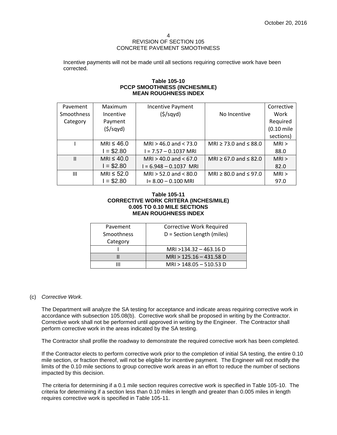Incentive payments will not be made until all sections requiring corrective work have been corrected.

### **Table 105-10 PCCP SMOOTHNESS (INCHES/MILE) MEAN ROUGHNESS INDEX**

| Pavement   | Maximum         | <b>Incentive Payment</b>  |                                 | Corrective |
|------------|-----------------|---------------------------|---------------------------------|------------|
| Smoothness | Incentive       | (5/sqyd)                  | No Incentive                    | Work       |
| Category   | Payment         |                           |                                 | Required   |
|            | (5/sqyd)        |                           |                                 | (0.10 mile |
|            |                 |                           |                                 | sections)  |
|            | MRI $\leq 46.0$ | $MRI > 46.0$ and $< 73.0$ | MRI $\ge$ 73.0 and $\le$ 88.0   | MRI >      |
|            | $I = $2.80$     | $I = 7.57 - 0.1037$ MRI   |                                 | 88.0       |
| Ш          | $MRI \leq 40.0$ | $MRI > 40.0$ and $< 67.0$ | MRI $\ge 67.0$ and $\le 82.0$   | MRI >      |
|            | $I = $2.80$     | $I = 6.948 - 0.1037$ MRI  |                                 | 82.0       |
| Ш          | $MRI \leq 52.0$ | $MRI > 52.0$ and $< 80.0$ | MRI $\geq$ 80.0 and $\leq$ 97.0 | MRI >      |
|            | $I = $2.80$     | $I = 8.00 - 0.100$ MRI    |                                 | 97.0       |

## **Table 105-11 CORRECTIVE WORK CRITERA (INCHES/MILE) 0.005 TO 0.10 MILE SECTIONS MEAN ROUGHNESS INDEX**

| Pavement   | <b>Corrective Work Required</b> |  |
|------------|---------------------------------|--|
| Smoothness | D = Section Length (miles)      |  |
| Category   |                                 |  |
|            | MRI >134.32 - 463.16 D          |  |
|            | $MRI > 125.16 - 431.58 D$       |  |
| Ш          | $MRI > 148.05 - 510.53 D$       |  |

## (c) *Corrective Work.*

The Department will analyze the SA testing for acceptance and indicate areas requiring corrective work in accordance with subsection 105.08(b). Corrective work shall be proposed in writing by the Contractor. Corrective work shall not be performed until approved in writing by the Engineer. The Contractor shall perform corrective work in the areas indicated by the SA testing.

The Contractor shall profile the roadway to demonstrate the required corrective work has been completed.

If the Contractor elects to perform corrective work prior to the completion of initial SA testing, the entire 0.10 mile section, or fraction thereof, will not be eligible for incentive payment. The Engineer will not modify the limits of the 0.10 mile sections to group corrective work areas in an effort to reduce the number of sections impacted by this decision.

The criteria for determining if a 0.1 mile section requires corrective work is specified in Table 105-10. The criteria for determining if a section less than 0.10 miles in length and greater than 0.005 miles in length requires corrective work is specified in Table 105-11.